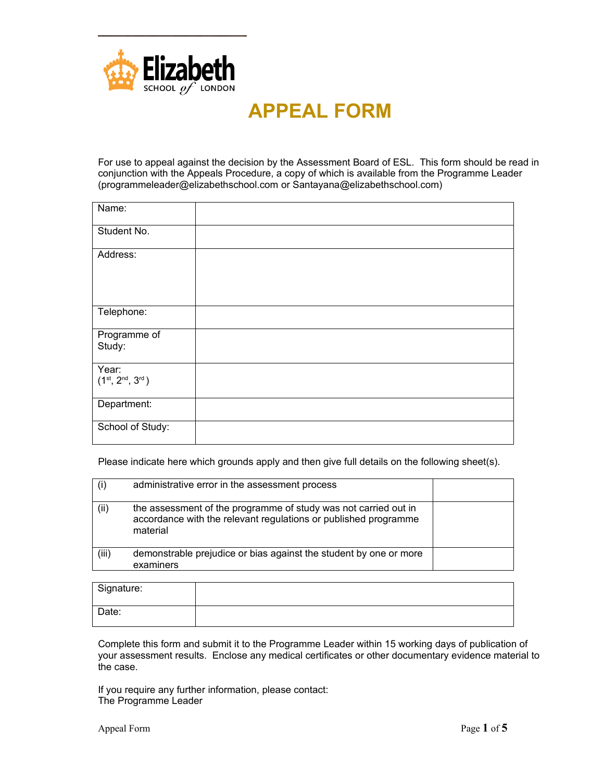

## **APPEAL FORM**

For use to appeal against the decision by the Assessment Board of ESL. This form should be read in conjunction with the Appeals Procedure, a copy of which is available from the Programme Leader ([programmeleader@elizabethschool.com](mailto:programmeleader@elizabethschool.com) or Santayana@elizabethschool.com)

| Name:                               |  |
|-------------------------------------|--|
| Student No.                         |  |
| Address:                            |  |
| Telephone:                          |  |
| Programme of<br>Study:              |  |
| Year:<br>$(1^{st}, 2^{nd}, 3^{rd})$ |  |
| Department:                         |  |
| School of Study:                    |  |

Please indicate here which grounds apply and then give full details on the following sheet(s).

|       | administrative error in the assessment process                                                                                                 |  |
|-------|------------------------------------------------------------------------------------------------------------------------------------------------|--|
| (ii)  | the assessment of the programme of study was not carried out in<br>accordance with the relevant regulations or published programme<br>material |  |
| (iii) | demonstrable prejudice or bias against the student by one or more<br>examiners                                                                 |  |

| Signature: |  |
|------------|--|
| Date:      |  |

Complete this form and submit it to the Programme Leader within 15 working days of publication of your assessment results. Enclose any medical certificates or other documentary evidence material to the case.

If you require any further information, please contact: The Programme Leader

Appeal Form Page 1 of 5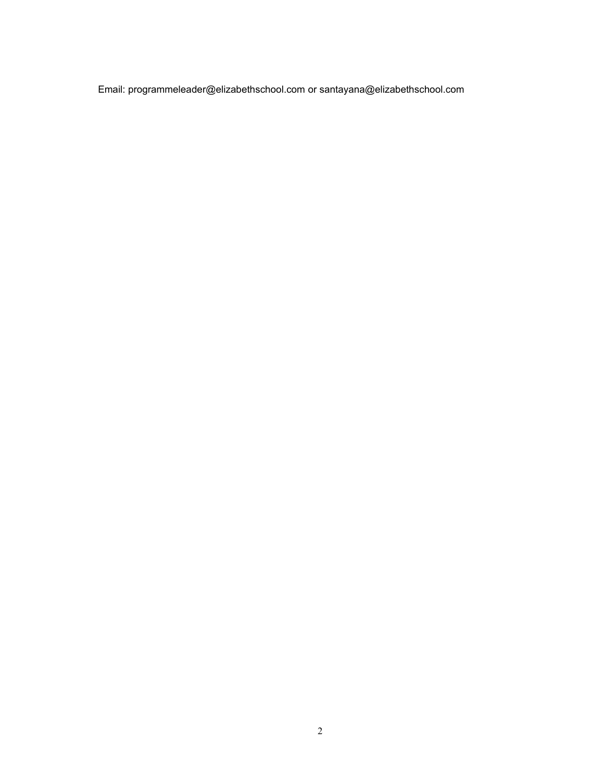Email: [programmeleader@elizabethschool.com](mailto:programmeleader@elizabethschool.com) or santayana@elizabethschool.com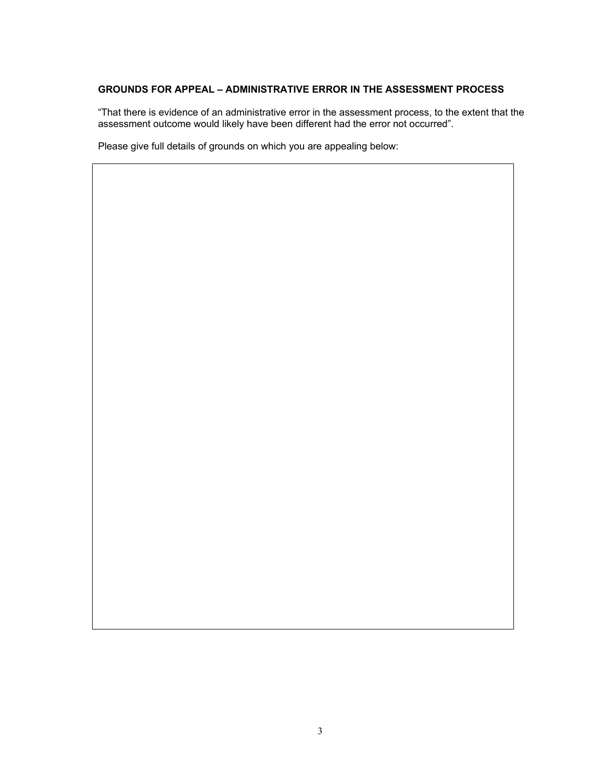## **GROUNDS FOR APPEAL – ADMINISTRATIVE ERROR IN THE ASSESSMENT PROCESS**

"That there is evidence of an administrative error in the assessment process, to the extent that the assessment outcome would likely have been different had the error not occurred".

Please give full details of grounds on which you are appealing below: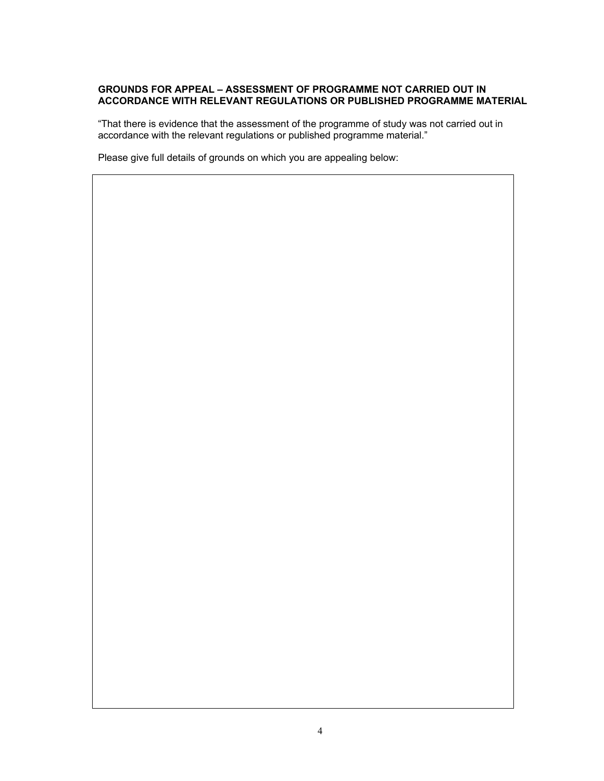## **GROUNDS FOR APPEAL – ASSESSMENT OF PROGRAMME NOT CARRIED OUT IN ACCORDANCE WITH RELEVANT REGULATIONS OR PUBLISHED PROGRAMME MATERIAL**

"That there is evidence that the assessment of the programme of study was not carried out in accordance with the relevant regulations or published programme material."

Please give full details of grounds on which you are appealing below: